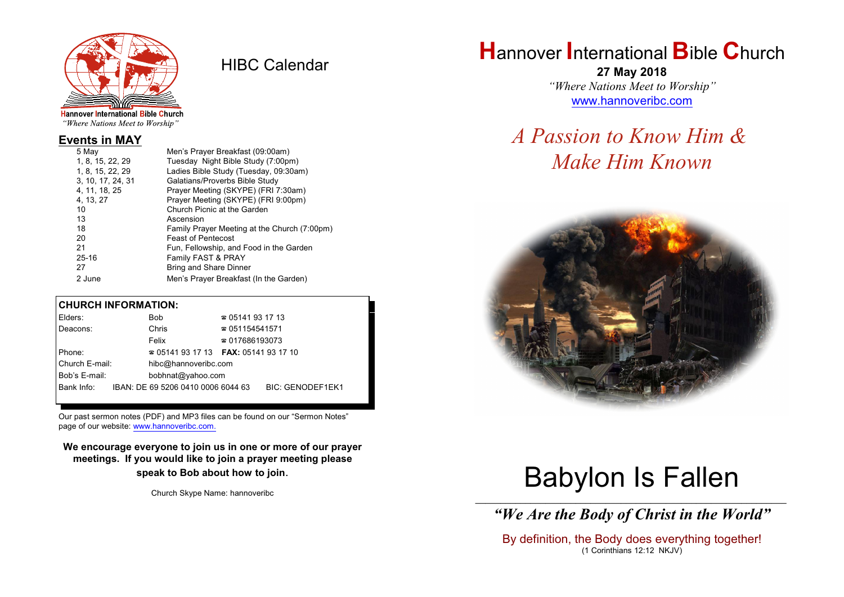

HIBC Calendar

"Where Nations Meet to Worship"

#### **Events in MAY**

| Men's Prayer Breakfast (09:00am)             |
|----------------------------------------------|
| Tuesday Night Bible Study (7:00pm)           |
| Ladies Bible Study (Tuesday, 09:30am)        |
| Galatians/Proverbs Bible Study               |
| Prayer Meeting (SKYPE) (FRI 7:30am)          |
| Prayer Meeting (SKYPE) (FRI 9:00pm)          |
| Church Picnic at the Garden                  |
| Ascension                                    |
| Family Prayer Meeting at the Church (7:00pm) |
| <b>Feast of Pentecost</b>                    |
| Fun, Fellowship, and Food in the Garden      |
| Family FAST & PRAY                           |
| <b>Bring and Share Dinner</b>                |
| Men's Prayer Breakfast (In the Garden)       |
|                                              |

#### **CHURCH INFORMATION:**

| Elders:        | Bob                                      | $\approx 05141931713$  |                         |
|----------------|------------------------------------------|------------------------|-------------------------|
| Deacons:       | Chris                                    | $\approx 051154541571$ |                         |
|                | Felix                                    | $\approx 017686193073$ |                         |
| Phone:         | $\approx 05141931713$ FAX: 0514193 17 10 |                        |                         |
| Church E-mail: | hibc@hannoveribc.com                     |                        |                         |
| Bob's E-mail:  | bobhnat@yahoo.com                        |                        |                         |
| Bank Info:     | IBAN: DE 69 5206 0410 0006 6044 63       |                        | <b>BIC: GENODEF1EK1</b> |
|                |                                          |                        |                         |

Our past sermon notes (PDF) and MP3 files can be found on our "Sermon Notes" page of our website: [www.hannoveribc.com.](http://www.hannoveribc.com.)

**We encourage everyone to join us in one or more of our prayer meetings. If you would like to join a prayer meeting please speak to Bob about how to join**.

Church Skype Name: hannoveribc

## **H**annover **I**nternational **B**ible **C**hurch

**27 May 2018** *"Where Nations Meet to Worship"* [www.hannoveribc.com](http://www.hannoveribc.com)

## *A Passion to Know Him & Make Him Known*



# Babylon Is Fallen

\_\_\_\_\_\_\_\_\_\_\_\_\_\_\_\_\_\_\_\_\_\_\_\_\_\_\_\_\_\_\_\_\_\_\_\_\_\_\_\_\_\_\_\_\_\_\_\_\_\_\_\_\_\_\_\_\_\_\_\_\_\_ *"We Are the Body of Christ in the World"*

By definition, the Body does everything together! (1 Corinthians 12:12 NKJV)